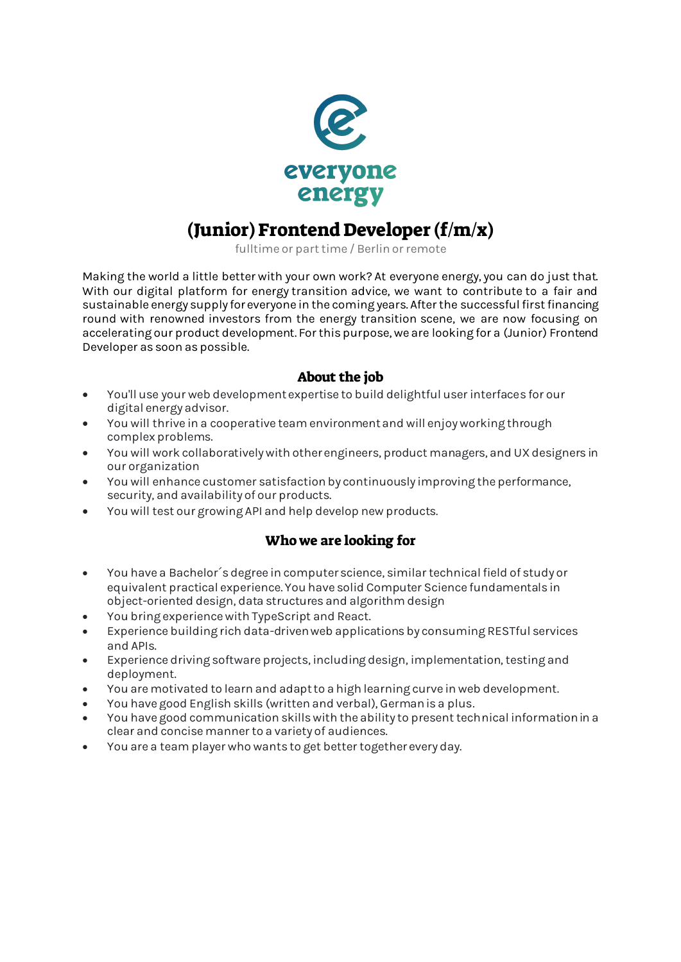

# (Junior) Frontend Developer (f/m/x)

fulltime or part time / Berlin or remote

Making the world a little better with your own work? At everyone energy, you can do just that. With our digital platform for energy transition advice, we want to contribute to a fair and sustainable energy supply for everyone in the coming years. After the successful first financing round with renowned investors from the energy transition scene, we are now focusing on accelerating our product development. For this purpose, we are looking for a (Junior) Frontend Developer as soon as possible.

### About the job

- You'll use your web development expertise to build delightful user interfaces for our digital energy advisor.
- You will thrive in a cooperative team environment and will enjoy working through complex problems.
- You will work collaboratively with other engineers, product managers, and UX designers in our organization
- You will enhance customer satisfaction by continuously improving the performance, security, and availability of our products.
- You will test our growing API and help develop new products.

## Who we are looking for

- You have a Bachelor´s degree in computer science, similar technical field of study or equivalent practical experience. You have solid Computer Science fundamentals in object-oriented design, data structures and algorithm design
- You bring experience with TypeScript and React.
- Experience building rich data-driven web applications by consuming RESTful services and APIs.
- Experience driving software projects, including design, implementation, testing and deployment.
- You are motivated to learn and adapt to a high learning curve in web development.
- You have good English skills (written and verbal), German is a plus.
- You have good communication skills with the ability to present technical information in a clear and concise manner to a variety of audiences.
- You are a team player who wants to get better together every day.